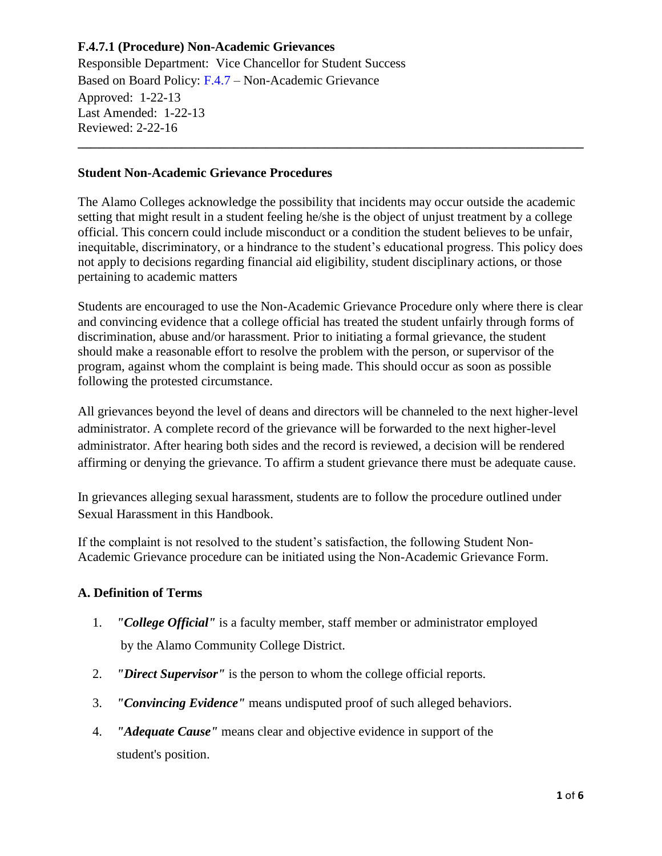Responsible Department: Vice Chancellor for Student Success Based on Board Policy: [F.4.7](https://www.alamo.edu/siteassets/district/about-us/leadership/board-of-trustees/policies-pdfs/section-f/f.4.7-policy.pdf) – Non-Academic Grievance Approved: 1-22-13 Last Amended: 1-22-13 Reviewed: 2-22-16 **\_\_\_\_\_\_\_\_\_\_\_\_\_\_\_\_\_\_\_\_\_\_\_\_\_\_\_\_\_\_\_\_\_\_\_\_\_\_\_\_\_\_\_\_\_\_\_\_\_\_\_\_\_\_\_\_\_\_\_\_\_\_\_\_\_\_\_\_\_\_\_\_\_\_\_\_\_\_**

### **Student Non-Academic Grievance Procedures**

The Alamo Colleges acknowledge the possibility that incidents may occur outside the academic setting that might result in a student feeling he/she is the object of unjust treatment by a college official. This concern could include misconduct or a condition the student believes to be unfair, inequitable, discriminatory, or a hindrance to the student's educational progress. This policy does not apply to decisions regarding financial aid eligibility, student disciplinary actions, or those pertaining to academic matters

Students are encouraged to use the Non-Academic Grievance Procedure only where there is clear and convincing evidence that a college official has treated the student unfairly through forms of discrimination, abuse and/or harassment. Prior to initiating a formal grievance, the student should make a reasonable effort to resolve the problem with the person, or supervisor of the program, against whom the complaint is being made. This should occur as soon as possible following the protested circumstance.

All grievances beyond the level of deans and directors will be channeled to the next higher-level administrator. A complete record of the grievance will be forwarded to the next higher-level administrator. After hearing both sides and the record is reviewed, a decision will be rendered affirming or denying the grievance. To affirm a student grievance there must be adequate cause.

In grievances alleging sexual harassment, students are to follow the procedure outlined under Sexual Harassment in this Handbook.

If the complaint is not resolved to the student's satisfaction, the following Student Non-Academic Grievance procedure can be initiated using the Non-Academic Grievance Form.

### **A. Definition of Terms**

- 1. *"College Official"* is a faculty member, staff member or administrator employed by the Alamo Community College District.
- 2. *"Direct Supervisor"* is the person to whom the college official reports.
- 3. *"Convincing Evidence"* means undisputed proof of such alleged behaviors.
- 4. *"Adequate Cause"* means clear and objective evidence in support of the student's position.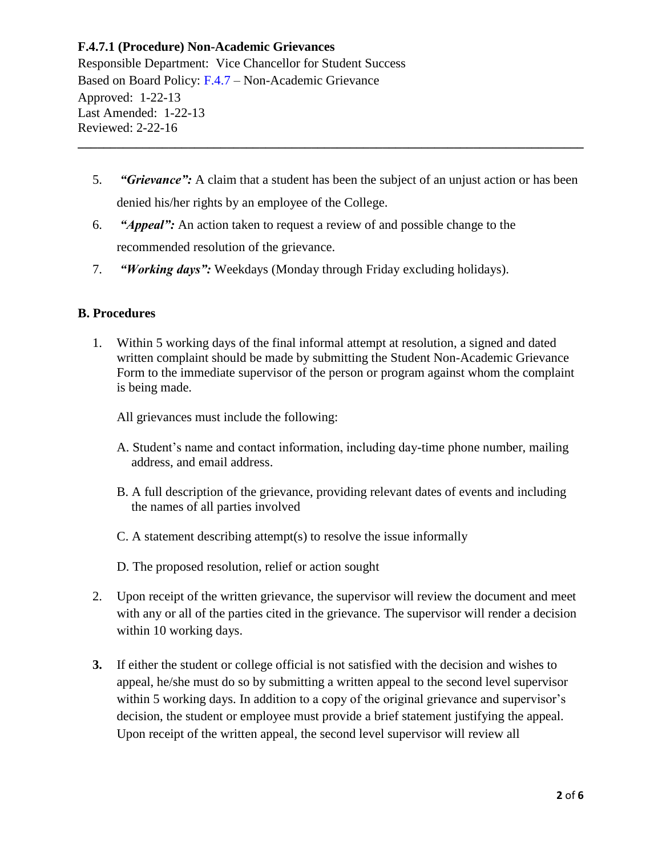Responsible Department: Vice Chancellor for Student Success Based on Board Policy: [F.4.7](https://www.alamo.edu/siteassets/district/about-us/leadership/board-of-trustees/policies-pdfs/section-f/f.4.7-policy.pdf) – Non-Academic Grievance Approved: 1-22-13 Last Amended: 1-22-13 Reviewed: 2-22-16 **\_\_\_\_\_\_\_\_\_\_\_\_\_\_\_\_\_\_\_\_\_\_\_\_\_\_\_\_\_\_\_\_\_\_\_\_\_\_\_\_\_\_\_\_\_\_\_\_\_\_\_\_\_\_\_\_\_\_\_\_\_\_\_\_\_\_\_\_\_\_\_\_\_\_\_\_\_\_**

- 5. *"Grievance":* A claim that a student has been the subject of an unjust action or has been denied his/her rights by an employee of the College.
- 6. *"Appeal":* An action taken to request a review of and possible change to the recommended resolution of the grievance.
- 7. *"Working days":* Weekdays (Monday through Friday excluding holidays).

### **B. Procedures**

1. Within 5 working days of the final informal attempt at resolution, a signed and dated written complaint should be made by submitting the Student Non-Academic Grievance Form to the immediate supervisor of the person or program against whom the complaint is being made.

All grievances must include the following:

- A. Student's name and contact information, including day-time phone number, mailing address, and email address.
- B. A full description of the grievance, providing relevant dates of events and including the names of all parties involved
- C. A statement describing attempt(s) to resolve the issue informally
- D. The proposed resolution, relief or action sought
- 2. Upon receipt of the written grievance, the supervisor will review the document and meet with any or all of the parties cited in the grievance. The supervisor will render a decision within 10 working days.
- **3.** If either the student or college official is not satisfied with the decision and wishes to appeal, he/she must do so by submitting a written appeal to the second level supervisor within 5 working days. In addition to a copy of the original grievance and supervisor's decision, the student or employee must provide a brief statement justifying the appeal. Upon receipt of the written appeal, the second level supervisor will review all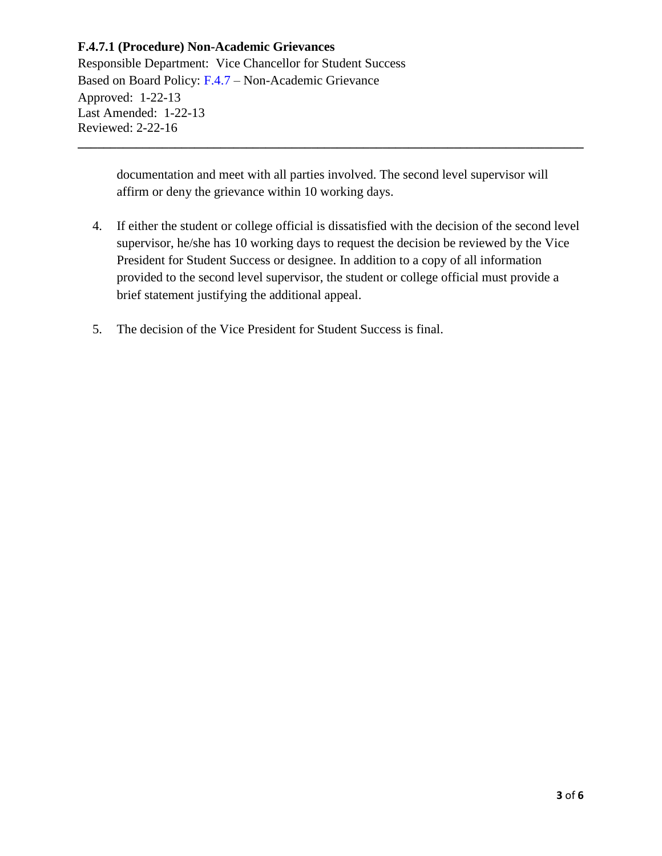Responsible Department: Vice Chancellor for Student Success Based on Board Policy: [F.4.7](https://www.alamo.edu/siteassets/district/about-us/leadership/board-of-trustees/policies-pdfs/section-f/f.4.7-policy.pdf) – Non-Academic Grievance Approved: 1-22-13 Last Amended: 1-22-13 Reviewed: 2-22-16 **\_\_\_\_\_\_\_\_\_\_\_\_\_\_\_\_\_\_\_\_\_\_\_\_\_\_\_\_\_\_\_\_\_\_\_\_\_\_\_\_\_\_\_\_\_\_\_\_\_\_\_\_\_\_\_\_\_\_\_\_\_\_\_\_\_\_\_\_\_\_\_\_\_\_\_\_\_\_**

documentation and meet with all parties involved. The second level supervisor will affirm or deny the grievance within 10 working days.

- 4. If either the student or college official is dissatisfied with the decision of the second level supervisor, he/she has 10 working days to request the decision be reviewed by the Vice President for Student Success or designee. In addition to a copy of all information provided to the second level supervisor, the student or college official must provide a brief statement justifying the additional appeal.
- 5. The decision of the Vice President for Student Success is final.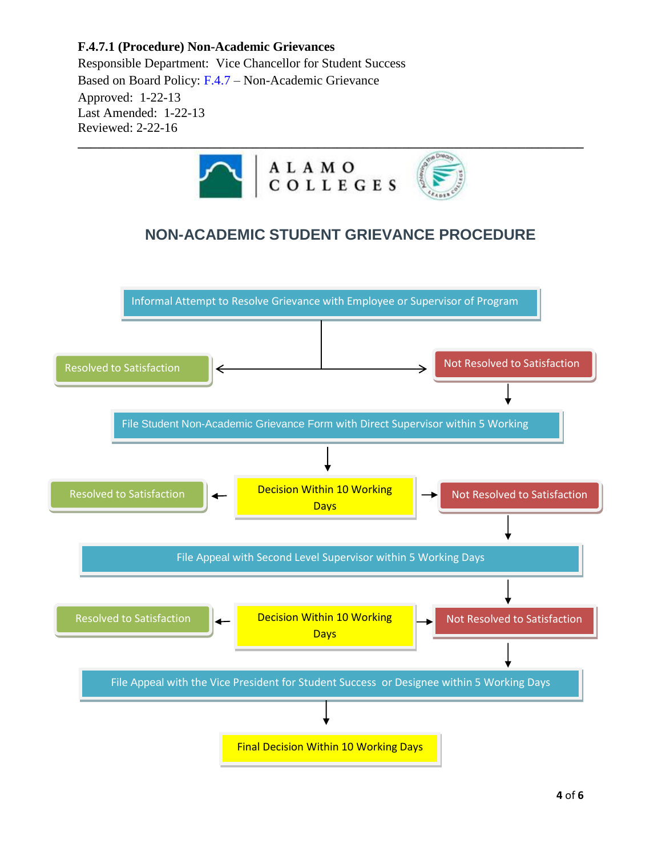Responsible Department: Vice Chancellor for Student Success Based on Board Policy: [F.4.7](https://www.alamo.edu/siteassets/district/about-us/leadership/board-of-trustees/policies-pdfs/section-f/f.4.7-policy.pdf) – Non-Academic Grievance Approved: 1-22-13 Last Amended: 1-22-13 Reviewed: 2-22-16

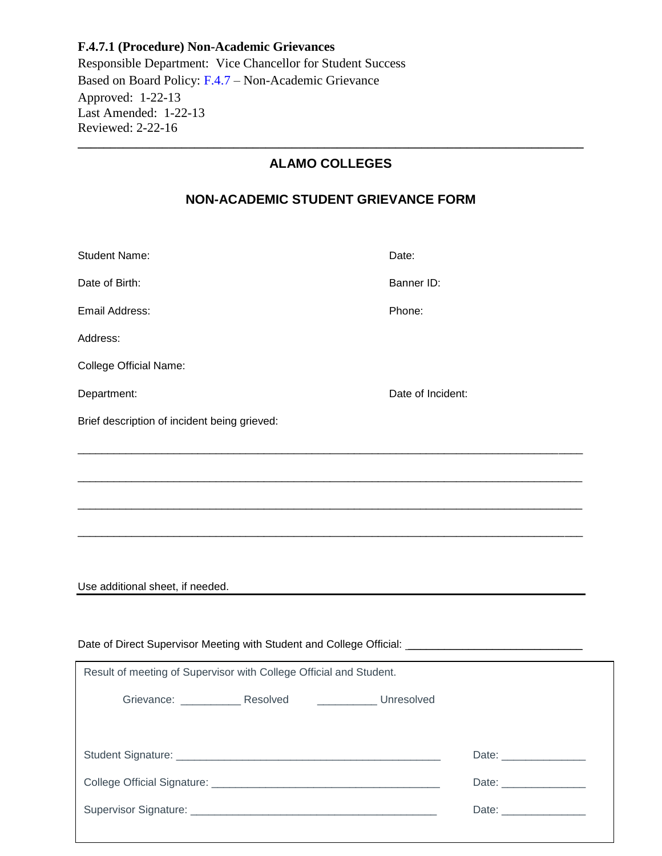Responsible Department: Vice Chancellor for Student Success Based on Board Policy: [F.4.7](https://www.alamo.edu/siteassets/district/about-us/leadership/board-of-trustees/policies-pdfs/section-f/f.4.7-policy.pdf) – Non-Academic Grievance Approved: 1-22-13 Last Amended: 1-22-13 Reviewed: 2-22-16 **\_\_\_\_\_\_\_\_\_\_\_\_\_\_\_\_\_\_\_\_\_\_\_\_\_\_\_\_\_\_\_\_\_\_\_\_\_\_\_\_\_\_\_\_\_\_\_\_\_\_\_\_\_\_\_\_\_\_\_\_\_\_\_\_\_\_\_\_\_\_\_\_\_\_\_\_\_\_**

# **ALAMO COLLEGES**

# **NON-ACADEMIC STUDENT GRIEVANCE FORM**

| <b>Student Name:</b>                                               | Date:                   |  |
|--------------------------------------------------------------------|-------------------------|--|
| Date of Birth:                                                     | Banner ID:              |  |
| Email Address:                                                     | Phone:                  |  |
| Address:                                                           |                         |  |
| <b>College Official Name:</b>                                      |                         |  |
| Department:                                                        | Date of Incident:       |  |
| Brief description of incident being grieved:                       |                         |  |
|                                                                    |                         |  |
|                                                                    |                         |  |
|                                                                    |                         |  |
|                                                                    |                         |  |
|                                                                    |                         |  |
| Use additional sheet, if needed.                                   |                         |  |
|                                                                    |                         |  |
|                                                                    |                         |  |
| Result of meeting of Supervisor with College Official and Student. |                         |  |
| Grievance: _____________ Resolved<br><b>Unresolved</b>             |                         |  |
|                                                                    |                         |  |
|                                                                    | Date:                   |  |
|                                                                    |                         |  |
|                                                                    | Date: _________________ |  |